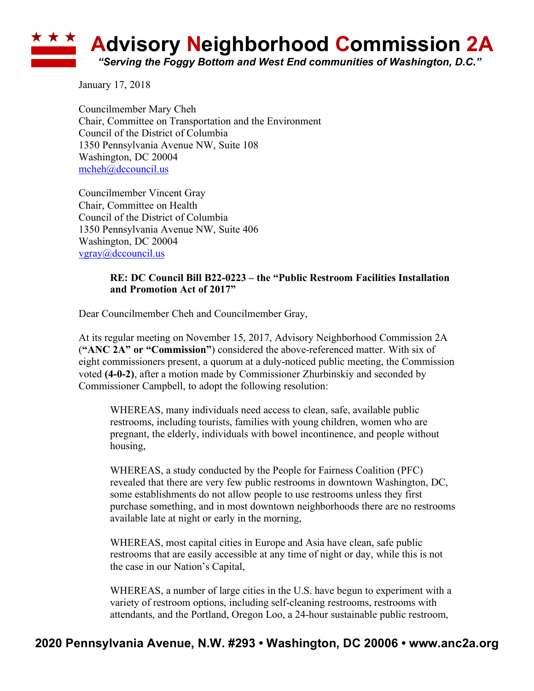## **Advisory Neighborhood Commission 2A** *"Serving the Foggy Bottom and West End communities of Washington, D.C."*

January 17, 2018

Councilmember Mary Cheh Chair, Committee on Transportation and the Environment Council of the District of Columbia 1350 Pennsylvania Avenue NW, Suite 108 Washington, DC 20004 mcheh@dccouncil.us

Councilmember Vincent Gray Chair, Committee on Health Council of the District of Columbia 1350 Pennsylvania Avenue NW, Suite 406 Washington, DC 20004 vgray@dccouncil.us

## **RE: DC Council Bill B22-0223 – the "Public Restroom Facilities Installation and Promotion Act of 2017"**

Dear Councilmember Cheh and Councilmember Gray,

At its regular meeting on November 15, 2017, Advisory Neighborhood Commission 2A (**"ANC 2A" or "Commission"**) considered the above-referenced matter. With six of eight commissioners present, a quorum at a duly-noticed public meeting, the Commission voted **(4-0-2)**, after a motion made by Commissioner Zhurbinskiy and seconded by Commissioner Campbell, to adopt the following resolution:

WHEREAS, many individuals need access to clean, safe, available public restrooms, including tourists, families with young children, women who are pregnant, the elderly, individuals with bowel incontinence, and people without housing,

WHEREAS, a study conducted by the People for Fairness Coalition (PFC) revealed that there are very few public restrooms in downtown Washington, DC, some establishments do not allow people to use restrooms unless they first purchase something, and in most downtown neighborhoods there are no restrooms available late at night or early in the morning,

WHEREAS, most capital cities in Europe and Asia have clean, safe public restrooms that are easily accessible at any time of night or day, while this is not the case in our Nation's Capital,

WHEREAS, a number of large cities in the U.S. have begun to experiment with a variety of restroom options, including self-cleaning restrooms, restrooms with attendants, and the Portland, Oregon Loo, a 24-hour sustainable public restroom,

## **2020 Pennsylvania Avenue, N.W. #293 • Washington, DC 20006 • www.anc2a.org**